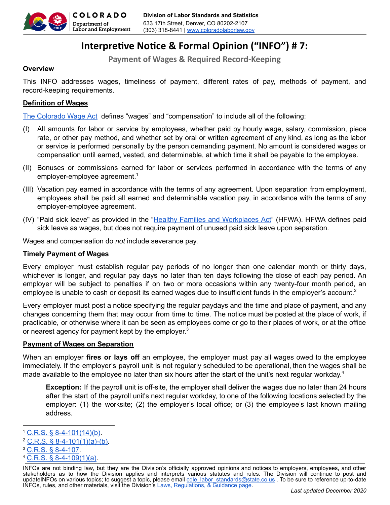

# **Interpretive Notice & Formal Opinion ("INFO") #7:**

**Payment of Wages & Required Record-Keeping**

# **Overview**

This INFO addresses wages, timeliness of payment, different rates of pay, methods of payment, and record-keeping requirements.

# **Definition of Wages**

The Colorado Wage Act defines "wages" and "compensation" to include all of the following:

- (I) All amounts for labor or service by employees, whether paid by hourly wage, salary, commission, piece rate, or other pay method, and whether set by oral or written agreement of any kind, as long as the labor or service is performed personally by the person demanding payment. No amount is considered wages or compensation until earned, vested, and determinable, at which time it shall be payable to the employee.
- (II) Bonuses or commissions earned for labor or services performed in accordance with the terms of any employer-employee agreement. $^{\rm 1}$
- (III) Vacation pay earned in accordance with the terms of any agreement. Upon separation from employment, employees shall be paid all earned and determinable vacation pay, in accordance with the terms of any employer-employee agreement.
- (IV) "Paid sick leave" as provided in the "Healthy Families and Workplaces Act" (HFWA). HFWA defines paid sick leave as wages, but does not require payment of unused paid sick leave upon separation.

Wages and compensation do *not* include severance pay.

## **Timely Payment of Wages**

Every employer must establish regular pay periods of no longer than one calendar month or thirty days, whichever is longer, and regular pay days no later than ten days following the close of each pay period. An employer will be subject to penalties if on two or more occasions within any twenty-four month period, an employee is unable to cash or deposit its earned wages due to insufficient funds in the employer's account.<sup>2</sup>

Every employer must post a notice specifying the regular paydays and the time and place of payment, and any changes concerning them that may occur from time to time. The notice must be posted at the place of work, if practicable, or otherwise where it can be seen as employees come or go to their places of work, or at the office or nearest agency for payment kept by the employer. $^3$ 

## **Payment of Wages on Separation**

When an employer **fires or lays off** an employee, the employer must pay all wages owed to the employee immediately. If the employer's payroll unit is not regularly scheduled to be operational, then the wages shall be made available to the employee no later than six hours after the start of the unit's next regular workday.<sup>4</sup>

**Exception:** If the payroll unit is off-site, the employer shall deliver the wages due no later than 24 hours after the start of the payroll unit's next regular workday, to one of the following locations selected by the employer: (1) the worksite; (2) the employer's local office; or (3) the employee's last known mailing address.

- $2$  C.R.S. § 8-4-101(1)(a)-(b).
- <sup>3</sup> C.R.S. § 8-4-107.
- $4$  C.R.S. § 8-4-109(1)(a).

 $1$  C.R.S. § 8-4-101(14)(b).

INFOs are not binding law, but they are the Division's officially approved opinions and notices to employers, employees, and other stakeholders as to how the Division applies and interprets various statutes and rules. The Division will continue to post and updateINFOs on various topics; to suggest a topic, please email cdle labor standards@state.co.us . To be sure to reference up-to-date INFOs, rules, and other materials, visit the Division's Laws, Regulations, & Guidance page.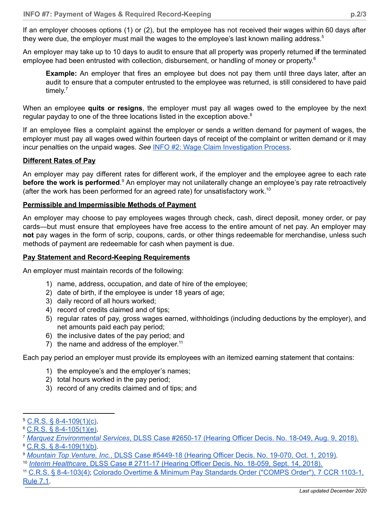If an employer chooses options (1) or (2), but the employee has not received their wages within 60 days after they were due, the employer must mail the wages to the employee's last known mailing address. $^{\rm 5}$ 

An employer may take up to 10 days to audit to ensure that all property was properly returned **if** the terminated employee had been entrusted with collection, disbursement, or handling of money or property.<sup>6</sup>

**Example:** An employer that fires an employee but does not pay them until three days later, after an audit to ensure that a computer entrusted to the employee was returned, is still considered to have paid timely.<sup>7</sup>

When an employee **quits or resigns**, the employer must pay all wages owed to the employee by the next regular payday to one of the three locations listed in the exception above. $^8$ 

If an employee files a complaint against the employer or sends a written demand for payment of wages, the employer must pay all wages owed within fourteen days of receipt of the complaint or written demand or it may incur penalties on the unpaid wages. *See* INFO #2: Wage Claim Investigation Process.

#### **Different Rates of Pay**

An employer may pay different rates for different work, if the employer and the employee agree to each rate **before the work is performed.** An employer may not unilaterally change an employee's pay rate retroactively (after the work has been performed for an agreed rate) for unsatisfactory work.<sup>10</sup>

#### **Permissible and Impermissible Methods of Payment**

An employer may choose to pay employees wages through check, cash, direct deposit, money order, or pay cards—but must ensure that employees have free access to the entire amount of net pay. An employer may **not** pay wages in the form of scrip, coupons, cards, or other things redeemable for merchandise, unless such methods of payment are redeemable for cash when payment is due.

#### **Pay Statement and Record-Keeping Requirements**

An employer must maintain records of the following:

- 1) name, address, occupation, and date of hire of the employee;
- 2) date of birth, if the employee is under 18 years of age;
- 3) daily record of all hours worked;
- 4) record of credits claimed and of tips;
- 5) regular rates of pay, gross wages earned, withholdings (including deductions by the employer), and net amounts paid each pay period;
- 6) the inclusive dates of the pay period; and
- 7) the name and address of the employer.<sup>11</sup>

Each pay period an employer must provide its employees with an itemized earning statement that contains:

- 1) the employee's and the employer's names;
- 2) total hours worked in the pay period;
- 3) record of any credits claimed and of tips; and

 $5$  C.R.S. § 8-4-109(1)(c).

 $°C$ , R.S. § 8-4-105(1)(e).

<sup>7</sup> *Marquez Environmental Services*, DLSS Case #2650-17 (Hearing Officer Decis. No. 18-049, Aug. 9, 2018).

<sup>8</sup> C.R.S. § 8-4-109(1)(b).

<sup>9</sup> *Mountain Top Venture, Inc.*, DLSS Case #5449-18 (Hearing Officer Decis. No. 19-070, Oct. 1, 2019).

<sup>10</sup> *Interim Healthcare*, DLSS Case # 2711-17 (Hearing Officer Decis. No. 18-059, Sept. 14, 2018).

<sup>11</sup> C.R.S. § 8-4-103(4); Colorado Overtime & Minimum Pay Standards Order ("COMPS Order"), 7 CCR 1103-1, Rule 7.1.